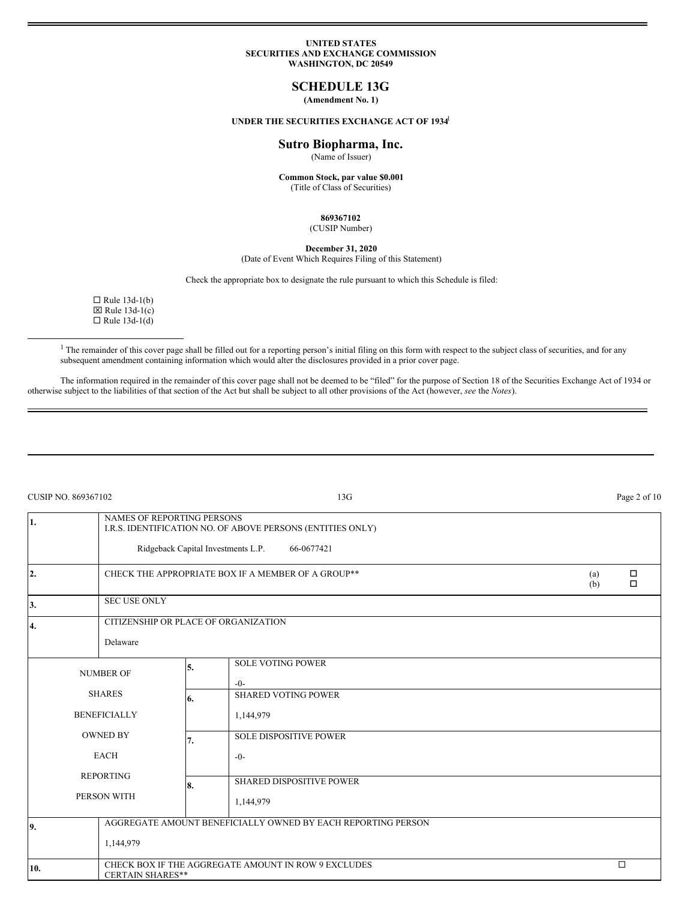### **UNITED STATES SECURITIES AND EXCHANGE COMMISSION WASHINGTON, DC 20549**

## **SCHEDULE 13G**

**(Amendment No. 1)**

## **UNDER THE SECURITIES EXCHANGE ACT OF 1934** 1

## **Sutro Biopharma, Inc.**

(Name of Issuer)

**Common Stock, par value \$0.001** (Title of Class of Securities)

## **869367102**

(CUSIP Number)

**December 31, 2020**

# (Date of Event Which Requires Filing of this Statement)

Check the appropriate box to designate the rule pursuant to which this Schedule is filed:

 $\Box$  Rule 13d-1(b)  $\boxtimes$  Rule 13d-1(c)  $\Box$  Rule 13d-1(d)

<sup>1</sup> The remainder of this cover page shall be filled out for a reporting person's initial filing on this form with respect to the subject class of securities, and for any subsequent amendment containing information which would alter the disclosures provided in a prior cover page.

The information required in the remainder of this cover page shall not be deemed to be "filed" for the purpose of Section 18 of the Securities Exchange Act of 1934 or otherwise subject to the liabilities of that section of the Act but shall be subject to all other provisions of the Act (however, *see* the *Notes*).

| CUSIP NO. 869367102 |                                                                                                                               |                                                     | 13G                                                                                                            |        | Page 2 of 10 |  |
|---------------------|-------------------------------------------------------------------------------------------------------------------------------|-----------------------------------------------------|----------------------------------------------------------------------------------------------------------------|--------|--------------|--|
| 1.                  | <b>NAMES OF REPORTING PERSONS</b>                                                                                             |                                                     | I.R.S. IDENTIFICATION NO. OF ABOVE PERSONS (ENTITIES ONLY)<br>Ridgeback Capital Investments L.P.<br>66-0677421 |        |              |  |
| 2.                  |                                                                                                                               | CHECK THE APPROPRIATE BOX IF A MEMBER OF A GROUP ** |                                                                                                                |        |              |  |
| 3.                  |                                                                                                                               | <b>SEC USE ONLY</b>                                 |                                                                                                                |        |              |  |
| 4.                  | Delaware                                                                                                                      | CITIZENSHIP OR PLACE OF ORGANIZATION                |                                                                                                                |        |              |  |
|                     | <b>NUMBER OF</b><br><b>SHARES</b><br><b>BENEFICIALLY</b><br><b>OWNED BY</b><br><b>EACH</b><br><b>REPORTING</b><br>PERSON WITH |                                                     | <b>SOLE VOTING POWER</b><br>$-0-$                                                                              |        |              |  |
|                     |                                                                                                                               |                                                     | <b>SHARED VOTING POWER</b><br>1,144,979                                                                        |        |              |  |
|                     |                                                                                                                               |                                                     | <b>SOLE DISPOSITIVE POWER</b><br>$-0-$                                                                         |        |              |  |
|                     |                                                                                                                               |                                                     | SHARED DISPOSITIVE POWER<br>1,144,979                                                                          |        |              |  |
| 9.                  |                                                                                                                               |                                                     | AGGREGATE AMOUNT BENEFICIALLY OWNED BY EACH REPORTING PERSON                                                   |        |              |  |
|                     | 1,144,979                                                                                                                     |                                                     |                                                                                                                |        |              |  |
| 10.                 | CHECK BOX IF THE AGGREGATE AMOUNT IN ROW 9 EXCLUDES<br><b>CERTAIN SHARES**</b>                                                |                                                     |                                                                                                                | $\Box$ |              |  |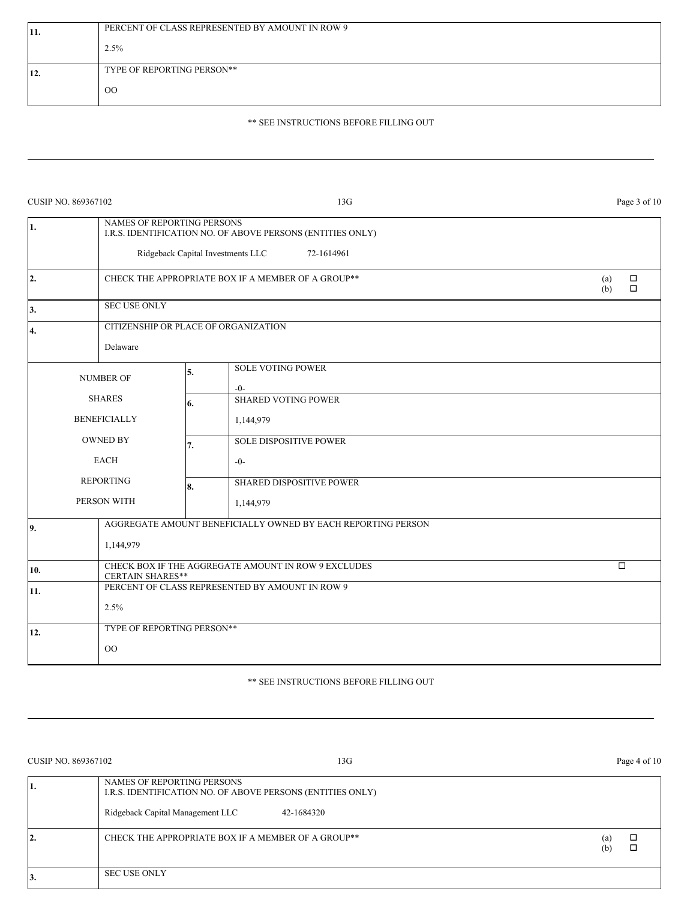| $ 11$ . | PERCENT OF CLASS REPRESENTED BY AMOUNT IN ROW 9 |  |  |  |  |
|---------|-------------------------------------------------|--|--|--|--|
|         | 2.5%                                            |  |  |  |  |
| 12.     | TYPE OF REPORTING PERSON**                      |  |  |  |  |
|         | $_{\rm OO}$                                     |  |  |  |  |

# \*\* SEE INSTRUCTIONS BEFORE FILLING OUT

| CUSIP NO. 869367102 |                                                                                |                                                 | 13G                                                                                                           | Page 3 of 10                   |  |  |
|---------------------|--------------------------------------------------------------------------------|-------------------------------------------------|---------------------------------------------------------------------------------------------------------------|--------------------------------|--|--|
| 1.                  | <b>NAMES OF REPORTING PERSONS</b>                                              |                                                 | I.R.S. IDENTIFICATION NO. OF ABOVE PERSONS (ENTITIES ONLY)<br>Ridgeback Capital Investments LLC<br>72-1614961 |                                |  |  |
| 2.                  | CHECK THE APPROPRIATE BOX IF A MEMBER OF A GROUP**                             |                                                 |                                                                                                               | $\Box$<br>(a)<br>$\Box$<br>(b) |  |  |
| 3.                  | <b>SEC USE ONLY</b>                                                            |                                                 |                                                                                                               |                                |  |  |
| 4.                  | CITIZENSHIP OR PLACE OF ORGANIZATION                                           |                                                 |                                                                                                               |                                |  |  |
|                     | Delaware                                                                       |                                                 |                                                                                                               |                                |  |  |
|                     | <b>NUMBER OF</b>                                                               | 5.                                              | <b>SOLE VOTING POWER</b><br>$-0-$                                                                             |                                |  |  |
|                     | <b>SHARES</b>                                                                  | 6.                                              | <b>SHARED VOTING POWER</b>                                                                                    |                                |  |  |
| <b>BENEFICIALLY</b> |                                                                                |                                                 | 1,144,979                                                                                                     |                                |  |  |
|                     | <b>OWNED BY</b>                                                                | 7.                                              | <b>SOLE DISPOSITIVE POWER</b>                                                                                 |                                |  |  |
|                     | <b>EACH</b>                                                                    |                                                 | $-0-$                                                                                                         |                                |  |  |
|                     | <b>REPORTING</b>                                                               | 8.                                              | <b>SHARED DISPOSITIVE POWER</b>                                                                               |                                |  |  |
|                     | PERSON WITH                                                                    |                                                 | 1,144,979                                                                                                     |                                |  |  |
| 9.                  |                                                                                |                                                 | AGGREGATE AMOUNT BENEFICIALLY OWNED BY EACH REPORTING PERSON                                                  |                                |  |  |
|                     | 1,144,979                                                                      |                                                 |                                                                                                               |                                |  |  |
| 10.                 | CHECK BOX IF THE AGGREGATE AMOUNT IN ROW 9 EXCLUDES<br><b>CERTAIN SHARES**</b> |                                                 |                                                                                                               | $\Box$                         |  |  |
| 11.                 |                                                                                | PERCENT OF CLASS REPRESENTED BY AMOUNT IN ROW 9 |                                                                                                               |                                |  |  |
|                     | 2.5%                                                                           |                                                 |                                                                                                               |                                |  |  |
| 12.                 | TYPE OF REPORTING PERSON**                                                     |                                                 |                                                                                                               |                                |  |  |
|                     | $00\,$                                                                         |                                                 |                                                                                                               |                                |  |  |

# \*\* SEE INSTRUCTIONS BEFORE FILLING OUT

| CUSIP NO. 869367102 | 13G                                                                                                                                        |            | Page 4 of 10 |
|---------------------|--------------------------------------------------------------------------------------------------------------------------------------------|------------|--------------|
| ı.                  | NAMES OF REPORTING PERSONS<br>I.R.S. IDENTIFICATION NO. OF ABOVE PERSONS (ENTITIES ONLY)<br>Ridgeback Capital Management LLC<br>42-1684320 |            |              |
| 2.                  | CHECK THE APPROPRIATE BOX IF A MEMBER OF A GROUP**                                                                                         | (a)<br>(b) |              |
| IJ.                 | <b>SEC USE ONLY</b>                                                                                                                        |            |              |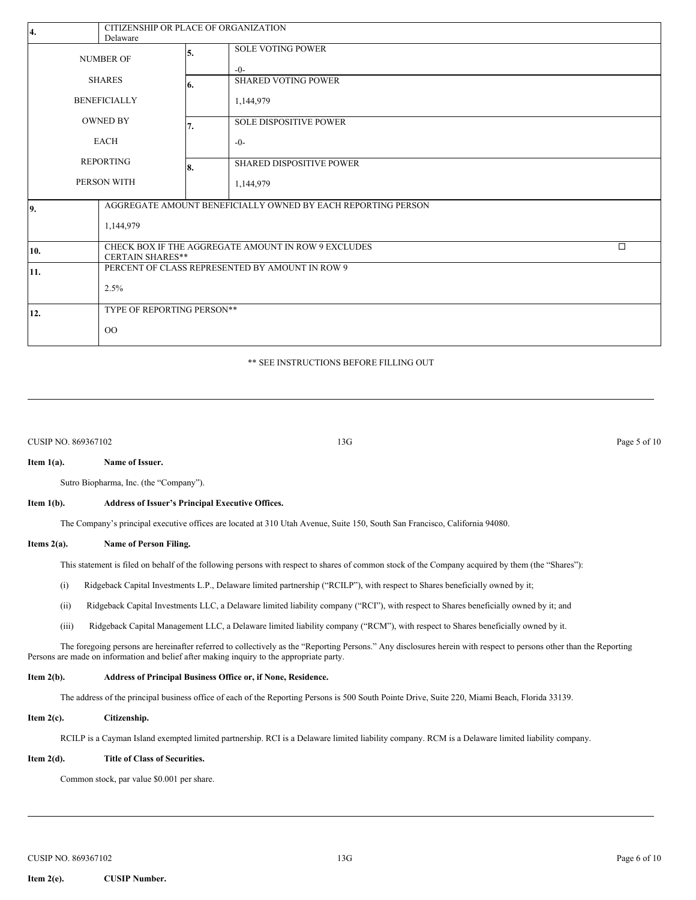| 4.                  | CITIZENSHIP OR PLACE OF ORGANIZATION<br>Delaware                                         |    |                                     |  |
|---------------------|------------------------------------------------------------------------------------------|----|-------------------------------------|--|
| <b>NUMBER OF</b>    |                                                                                          | 5. | <b>SOLE VOTING POWER</b><br>$-()$ - |  |
| <b>SHARES</b>       |                                                                                          | 6. | <b>SHARED VOTING POWER</b>          |  |
| <b>BENEFICIALLY</b> |                                                                                          |    | 1,144,979                           |  |
| <b>OWNED BY</b>     |                                                                                          | 7. | <b>SOLE DISPOSITIVE POWER</b>       |  |
| <b>EACH</b>         |                                                                                          |    | $-0-$                               |  |
| <b>REPORTING</b>    |                                                                                          | 8. | <b>SHARED DISPOSITIVE POWER</b>     |  |
| PERSON WITH         |                                                                                          |    | 1,144,979                           |  |
| 9.                  | AGGREGATE AMOUNT BENEFICIALLY OWNED BY EACH REPORTING PERSON<br>1,144,979                |    |                                     |  |
| 10.                 | CHECK BOX IF THE AGGREGATE AMOUNT IN ROW 9 EXCLUDES<br>$\Box$<br><b>CERTAIN SHARES**</b> |    |                                     |  |
| 11.                 | PERCENT OF CLASS REPRESENTED BY AMOUNT IN ROW 9                                          |    |                                     |  |
|                     | 2.5%                                                                                     |    |                                     |  |
| 12.                 | TYPE OF REPORTING PERSON**                                                               |    |                                     |  |
|                     | $_{\rm OO}$                                                                              |    |                                     |  |

## \*\* SEE INSTRUCTIONS BEFORE FILLING OUT

CUSIP NO. 869367102 Page 5 of 10

## **Item 1(a). Name of Issuer.**

Sutro Biopharma, Inc. (the "Company").

#### **Item 1(b). Address of Issuer's Principal Executive Offices.**

The Company's principal executive offices are located at 310 Utah Avenue, Suite 150, South San Francisco, California 94080.

### **Items 2(a). Name of Person Filing.**

This statement is filed on behalf of the following persons with respect to shares of common stock of the Company acquired by them (the "Shares"):

- (i) Ridgeback Capital Investments L.P., Delaware limited partnership ("RCILP"), with respect to Shares beneficially owned by it;
- (ii) Ridgeback Capital Investments LLC, a Delaware limited liability company ("RCI"), with respect to Shares beneficially owned by it; and
- (iii) Ridgeback Capital Management LLC, a Delaware limited liability company ("RCM"), with respect to Shares beneficially owned by it.

The foregoing persons are hereinafter referred to collectively as the "Reporting Persons." Any disclosures herein with respect to persons other than the Reporting Persons are made on information and belief after making inquiry to the appropriate party.

## **Item 2(b). Address of Principal Business Office or, if None, Residence.**

The address of the principal business office of each of the Reporting Persons is 500 South Pointe Drive, Suite 220, Miami Beach, Florida 33139.

## **Item 2(c). Citizenship.**

RCILP is a Cayman Island exempted limited partnership. RCI is a Delaware limited liability company. RCM is a Delaware limited liability company.

## **Item 2(d). Title of Class of Securities.**

Common stock, par value \$0.001 per share.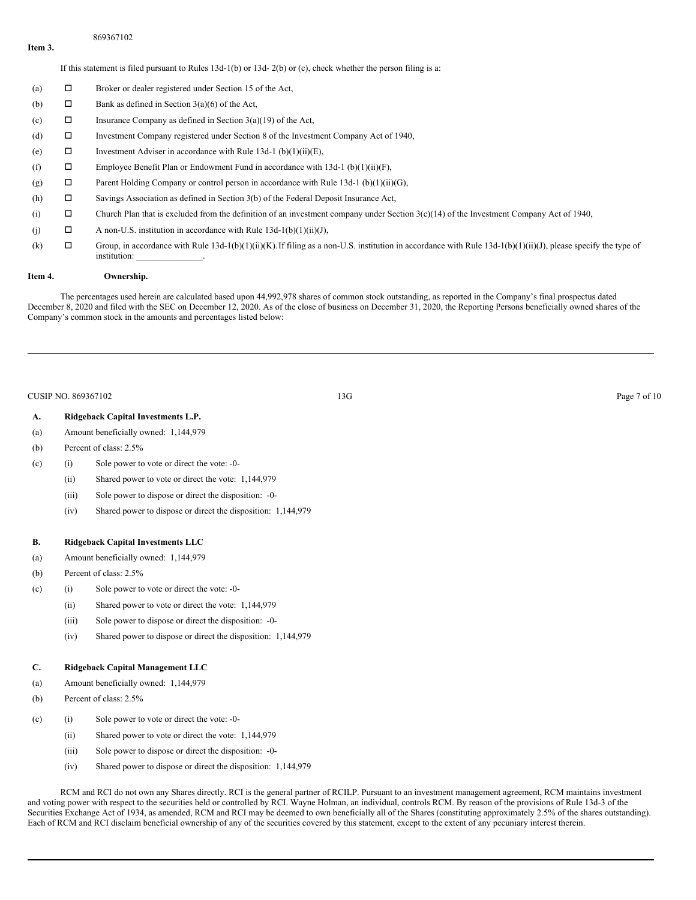## 869367102

**Item 3.**

If this statement is filed pursuant to Rules 13d-1(b) or 13d- 2(b) or (c), check whether the person filing is a:

- (a)  $\Box$  Broker or dealer registered under Section 15 of the Act,
- (b)  $\Box$  Bank as defined in Section 3(a)(6) of the Act,
- (c)  $\Box$  Insurance Company as defined in Section 3(a)(19) of the Act,
- (d) o Investment Company registered under Section 8 of the Investment Company Act of 1940,
- (e)  $\Box$  Investment Adviser in accordance with Rule 13d-1 (b)(1)(ii)(E),
- (f)  $\square$  Employee Benefit Plan or Endowment Fund in accordance with 13d-1 (b)(1)(ii)(F),
- (g)  $\Box$  Parent Holding Company or control person in accordance with Rule 13d-1 (b)(1)(ii)(G),
- (h)  $\Box$  Savings Association as defined in Section 3(b) of the Federal Deposit Insurance Act,
- (i)  $\square$  Church Plan that is excluded from the definition of an investment company under Section 3(c)(14) of the Investment Company Act of 1940,
- (j)  $\Box$  A non-U.S. institution in accordance with Rule 13d-1(b)(1)(ii)(J),
- (k)  $\square$  Group, in accordance with Rule 13d-1(b)(1)(ii)(K). If filing as a non-U.S. institution in accordance with Rule 13d-1(b)(1)(ii)(J), please specify the type of institution:

## **Item 4. Ownership.**

The percentages used herein are calculated based upon 44,992,978 shares of common stock outstanding, as reported in the Company's final prospectus dated December 8, 2020 and filed with the SEC on December 12, 2020. As of the close of business on December 31, 2020, the Reporting Persons beneficially owned shares of the Company's common stock in the amounts and percentages listed below:

#### CUSIP NO. 869367102 Page 7 of 10

## **A. Ridgeback Capital Investments L.P.**

- (a) Amount beneficially owned: 1,144,979
- (b) Percent of class: 2.5%
- (c) (i) Sole power to vote or direct the vote: -0-
	- (ii) Shared power to vote or direct the vote: 1,144,979
	- (iii) Sole power to dispose or direct the disposition: -0-
	- (iv) Shared power to dispose or direct the disposition: 1,144,979

## **B. Ridgeback Capital Investments LLC**

- (a) Amount beneficially owned: 1,144,979
- (b) Percent of class: 2.5%
- (c) (i) Sole power to vote or direct the vote: -0-
	- (ii) Shared power to vote or direct the vote: 1,144,979
	- (iii) Sole power to dispose or direct the disposition: -0-
	- (iv) Shared power to dispose or direct the disposition: 1,144,979

## **C. Ridgeback Capital Management LLC**

- (a) Amount beneficially owned: 1,144,979
- (b) Percent of class: 2.5%
- (c) (i) Sole power to vote or direct the vote: -0-
	- (ii) Shared power to vote or direct the vote: 1,144,979
	- (iii) Sole power to dispose or direct the disposition: -0-
	- (iv) Shared power to dispose or direct the disposition: 1,144,979

RCM and RCI do not own any Shares directly. RCI is the general partner of RCILP. Pursuant to an investment management agreement, RCM maintains investment and voting power with respect to the securities held or controlled by RCI. Wayne Holman, an individual, controls RCM. By reason of the provisions of Rule 13d-3 of the Securities Exchange Act of 1934, as amended, RCM and RCI may be deemed to own beneficially all of the Shares (constituting approximately 2.5% of the shares outstanding). Each of RCM and RCI disclaim beneficial ownership of any of the securities covered by this statement, except to the extent of any pecuniary interest therein.